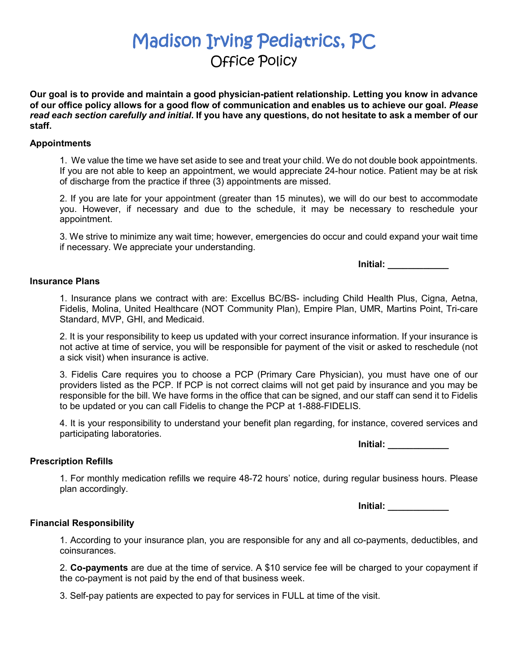# Madison Irving Pediatrics, PC Office Policy

**Our goal is to provide and maintain a good physician-patient relationship. Letting you know in advance of our office policy allows for a good flow of communication and enables us to achieve our goal.** *Please read each section carefully and initial***. If you have any questions, do not hesitate to ask a member of our staff.** 

## **Appointments**

1. We value the time we have set aside to see and treat your child. We do not double book appointments. If you are not able to keep an appointment, we would appreciate 24-hour notice. Patient may be at risk of discharge from the practice if three (3) appointments are missed.

2. If you are late for your appointment (greater than 15 minutes), we will do our best to accommodate you. However, if necessary and due to the schedule, it may be necessary to reschedule your appointment.

3. We strive to minimize any wait time; however, emergencies do occur and could expand your wait time if necessary. We appreciate your understanding.

**Initial: \_\_\_\_\_\_\_\_\_\_\_\_**

## **Insurance Plans**

1. Insurance plans we contract with are: Excellus BC/BS- including Child Health Plus, Cigna, Aetna, Fidelis, Molina, United Healthcare (NOT Community Plan), Empire Plan, UMR, Martins Point, Tri-care Standard, MVP, GHI, and Medicaid.

2. It is your responsibility to keep us updated with your correct insurance information. If your insurance is not active at time of service, you will be responsible for payment of the visit or asked to reschedule (not a sick visit) when insurance is active.

3. Fidelis Care requires you to choose a PCP (Primary Care Physician), you must have one of our providers listed as the PCP. If PCP is not correct claims will not get paid by insurance and you may be responsible for the bill. We have forms in the office that can be signed, and our staff can send it to Fidelis to be updated or you can call Fidelis to change the PCP at 1-888-FIDELIS.

4. It is your responsibility to understand your benefit plan regarding, for instance, covered services and participating laboratories.

**Initial: \_\_\_\_\_\_\_\_\_\_\_\_**

#### **Prescription Refills**

1. For monthly medication refills we require 48-72 hours' notice, during regular business hours. Please plan accordingly.

**Initial: \_\_\_\_\_\_\_\_\_\_\_\_**

# **Financial Responsibility**

1. According to your insurance plan, you are responsible for any and all co-payments, deductibles, and coinsurances.

2. **Co-payments** are due at the time of service. A \$10 service fee will be charged to your copayment if the co-payment is not paid by the end of that business week.

3. Self-pay patients are expected to pay for services in FULL at time of the visit.